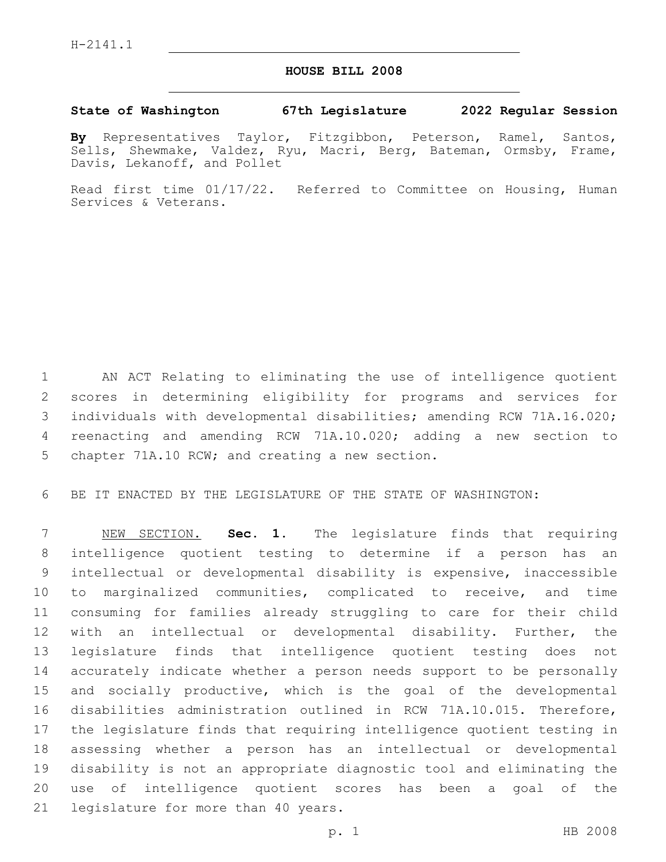## **HOUSE BILL 2008**

## **State of Washington 67th Legislature 2022 Regular Session**

**By** Representatives Taylor, Fitzgibbon, Peterson, Ramel, Santos, Sells, Shewmake, Valdez, Ryu, Macri, Berg, Bateman, Ormsby, Frame, Davis, Lekanoff, and Pollet

Read first time 01/17/22. Referred to Committee on Housing, Human Services & Veterans.

 AN ACT Relating to eliminating the use of intelligence quotient scores in determining eligibility for programs and services for individuals with developmental disabilities; amending RCW 71A.16.020; reenacting and amending RCW 71A.10.020; adding a new section to 5 chapter 71A.10 RCW; and creating a new section.

BE IT ENACTED BY THE LEGISLATURE OF THE STATE OF WASHINGTON:

 NEW SECTION. **Sec. 1.** The legislature finds that requiring intelligence quotient testing to determine if a person has an intellectual or developmental disability is expensive, inaccessible to marginalized communities, complicated to receive, and time consuming for families already struggling to care for their child with an intellectual or developmental disability. Further, the legislature finds that intelligence quotient testing does not accurately indicate whether a person needs support to be personally and socially productive, which is the goal of the developmental disabilities administration outlined in RCW 71A.10.015. Therefore, the legislature finds that requiring intelligence quotient testing in assessing whether a person has an intellectual or developmental disability is not an appropriate diagnostic tool and eliminating the use of intelligence quotient scores has been a goal of the legislature for more than 40 years.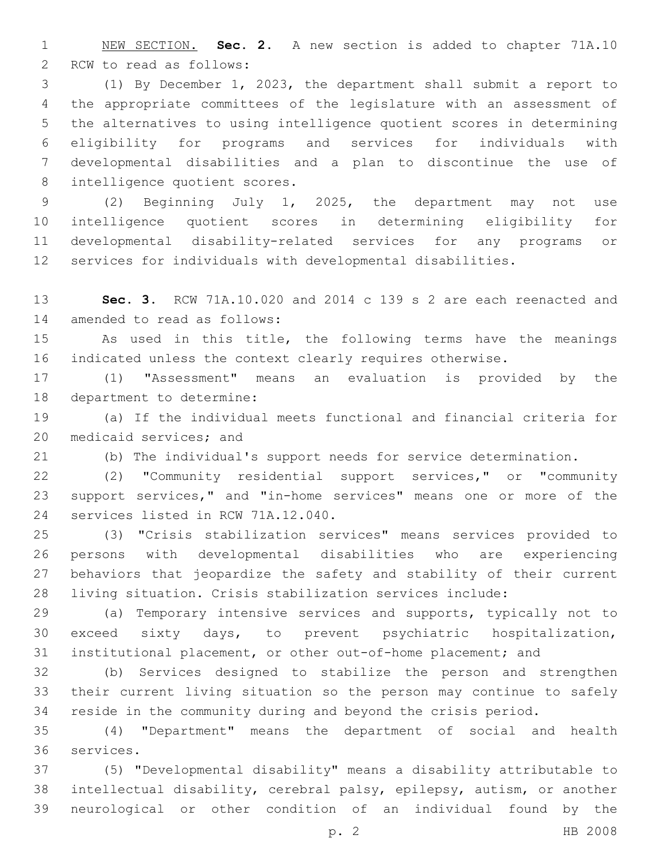NEW SECTION. **Sec. 2.** A new section is added to chapter 71A.10 2 RCW to read as follows:

 (1) By December 1, 2023, the department shall submit a report to the appropriate committees of the legislature with an assessment of the alternatives to using intelligence quotient scores in determining eligibility for programs and services for individuals with developmental disabilities and a plan to discontinue the use of 8 intelligence quotient scores.

 (2) Beginning July 1, 2025, the department may not use intelligence quotient scores in determining eligibility for developmental disability-related services for any programs or services for individuals with developmental disabilities.

 **Sec. 3.** RCW 71A.10.020 and 2014 c 139 s 2 are each reenacted and 14 amended to read as follows:

 As used in this title, the following terms have the meanings indicated unless the context clearly requires otherwise.

 (1) "Assessment" means an evaluation is provided by the 18 department to determine:

 (a) If the individual meets functional and financial criteria for 20 medicaid services; and

(b) The individual's support needs for service determination.

 (2) "Community residential support services," or "community support services," and "in-home services" means one or more of the 24 services listed in RCW 71A.12.040.

 (3) "Crisis stabilization services" means services provided to persons with developmental disabilities who are experiencing behaviors that jeopardize the safety and stability of their current living situation. Crisis stabilization services include:

 (a) Temporary intensive services and supports, typically not to exceed sixty days, to prevent psychiatric hospitalization, institutional placement, or other out-of-home placement; and

 (b) Services designed to stabilize the person and strengthen their current living situation so the person may continue to safely reside in the community during and beyond the crisis period.

 (4) "Department" means the department of social and health 36 services.

 (5) "Developmental disability" means a disability attributable to intellectual disability, cerebral palsy, epilepsy, autism, or another neurological or other condition of an individual found by the

p. 2 HB 2008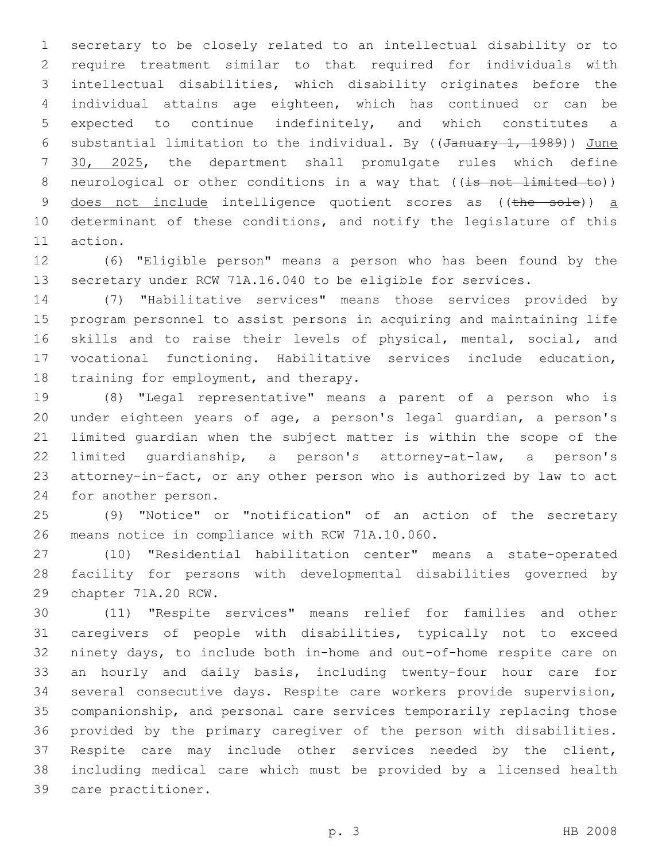secretary to be closely related to an intellectual disability or to require treatment similar to that required for individuals with intellectual disabilities, which disability originates before the individual attains age eighteen, which has continued or can be expected to continue indefinitely, and which constitutes a 6 substantial limitation to the individual. By ( $(d_{\text{anuary 1, 1989}})$ ) June 30, 2025, the department shall promulgate rules which define 8 neurological or other conditions in a way that  $((\frac{1}{18} \text{ not } \frac{1}{18})$ 9 does not include intelligence quotient scores as ((the sole)) a determinant of these conditions, and notify the legislature of this 11 action.

 (6) "Eligible person" means a person who has been found by the secretary under RCW 71A.16.040 to be eligible for services.

 (7) "Habilitative services" means those services provided by program personnel to assist persons in acquiring and maintaining life skills and to raise their levels of physical, mental, social, and vocational functioning. Habilitative services include education, 18 training for employment, and therapy.

 (8) "Legal representative" means a parent of a person who is under eighteen years of age, a person's legal guardian, a person's limited guardian when the subject matter is within the scope of the limited guardianship, a person's attorney-at-law, a person's attorney-in-fact, or any other person who is authorized by law to act 24 for another person.

 (9) "Notice" or "notification" of an action of the secretary 26 means notice in compliance with RCW 71A.10.060.

 (10) "Residential habilitation center" means a state-operated facility for persons with developmental disabilities governed by 29 chapter 71A.20 RCW.

 (11) "Respite services" means relief for families and other caregivers of people with disabilities, typically not to exceed ninety days, to include both in-home and out-of-home respite care on an hourly and daily basis, including twenty-four hour care for several consecutive days. Respite care workers provide supervision, companionship, and personal care services temporarily replacing those provided by the primary caregiver of the person with disabilities. Respite care may include other services needed by the client, including medical care which must be provided by a licensed health 39 care practitioner.

p. 3 HB 2008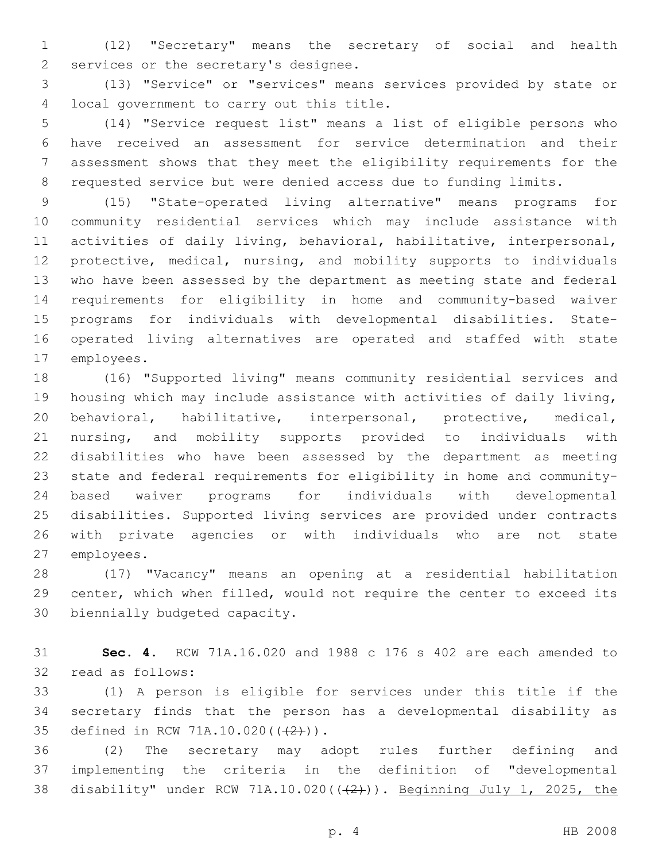(12) "Secretary" means the secretary of social and health 2 services or the secretary's designee.

 (13) "Service" or "services" means services provided by state or 4 local government to carry out this title.

 (14) "Service request list" means a list of eligible persons who have received an assessment for service determination and their assessment shows that they meet the eligibility requirements for the requested service but were denied access due to funding limits.

 (15) "State-operated living alternative" means programs for community residential services which may include assistance with activities of daily living, behavioral, habilitative, interpersonal, protective, medical, nursing, and mobility supports to individuals who have been assessed by the department as meeting state and federal requirements for eligibility in home and community-based waiver programs for individuals with developmental disabilities. State- operated living alternatives are operated and staffed with state 17 employees.

 (16) "Supported living" means community residential services and housing which may include assistance with activities of daily living, behavioral, habilitative, interpersonal, protective, medical, nursing, and mobility supports provided to individuals with disabilities who have been assessed by the department as meeting state and federal requirements for eligibility in home and community- based waiver programs for individuals with developmental disabilities. Supported living services are provided under contracts with private agencies or with individuals who are not state 27 employees.

 (17) "Vacancy" means an opening at a residential habilitation center, which when filled, would not require the center to exceed its 30 biennially budgeted capacity.

 **Sec. 4.** RCW 71A.16.020 and 1988 c 176 s 402 are each amended to 32 read as follows:

 (1) A person is eligible for services under this title if the secretary finds that the person has a developmental disability as 35 defined in RCW 71A.10.020(((2))).

 (2) The secretary may adopt rules further defining and implementing the criteria in the definition of "developmental 38 disability" under RCW 71A.10.020( $(\frac{2}{2})$ ). Beginning July 1, 2025, the